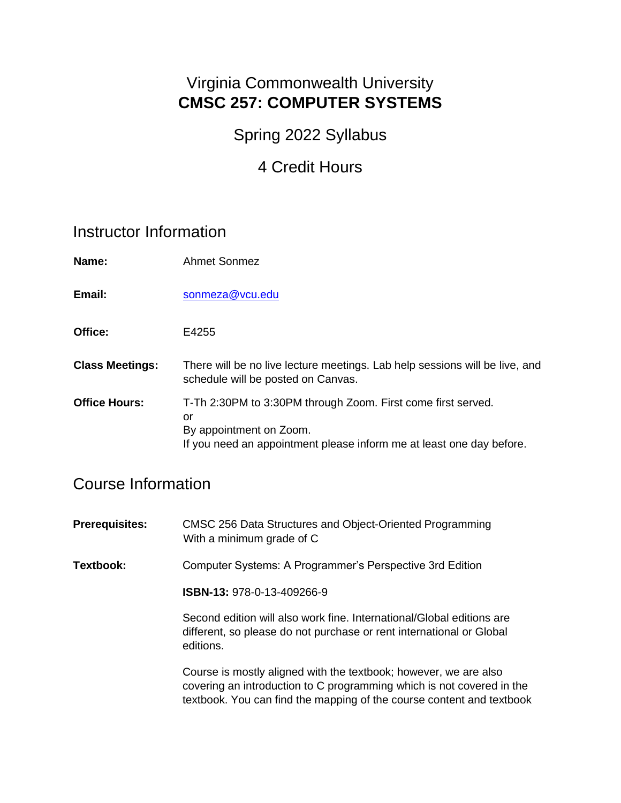### Virginia Commonwealth University **CMSC 257: COMPUTER SYSTEMS**

### Spring 2022 Syllabus

## 4 Credit Hours

### Instructor Information

| Name:                  | <b>Ahmet Sonmez</b>                                                                                               |
|------------------------|-------------------------------------------------------------------------------------------------------------------|
| Email:                 | sonmeza@vcu.edu                                                                                                   |
| Office:                | E4255                                                                                                             |
| <b>Class Meetings:</b> | There will be no live lecture meetings. Lab help sessions will be live, and<br>schedule will be posted on Canvas. |
| <b>Office Hours:</b>   | T-Th 2:30PM to 3:30PM through Zoom. First come first served.<br>or                                                |

### Course Information

| <b>Prerequisites:</b> | CMSC 256 Data Structures and Object-Oriented Programming<br>With a minimum grade of C |
|-----------------------|---------------------------------------------------------------------------------------|
| Textbook:             | Computer Systems: A Programmer's Perspective 3rd Edition                              |
|                       | ISBN-13: 978-0-13-409266-9                                                            |

Second edition will also work fine. International/Global editions are different, so please do not purchase or rent international or Global editions.

Course is mostly aligned with the textbook; however, we are also covering an introduction to C programming which is not covered in the textbook. You can find the mapping of the course content and textbook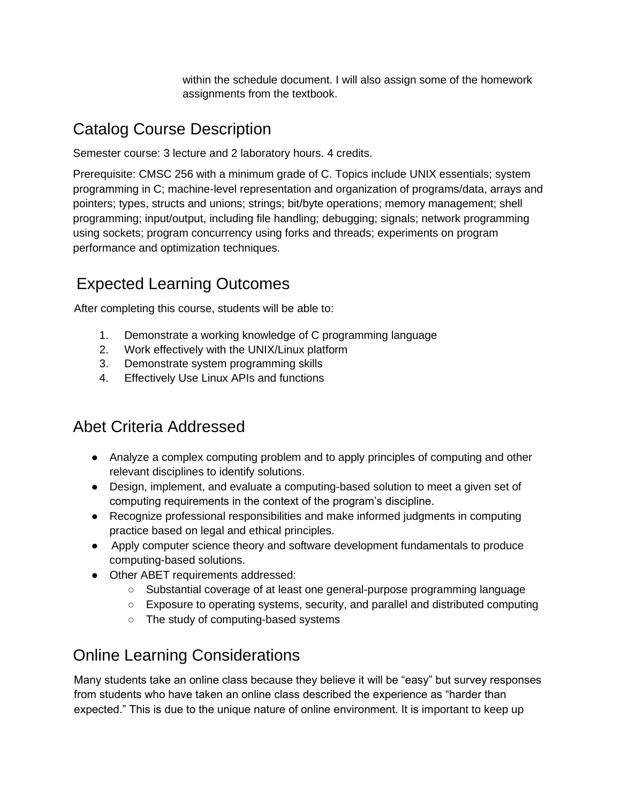within the schedule document. I will also assign some of the homework assignments from the textbook.

# Catalog Course Description

Semester course: 3 lecture and 2 laboratory hours. 4 credits.

Prerequisite: CMSC 256 with a minimum grade of C. Topics include UNIX essentials; system programming in C; machine-level representation and organization of programs/data, arrays and pointers; types, structs and unions; strings; bit/byte operations; memory management; shell programming; input/output, including file handling; debugging; signals; network programming using sockets; program concurrency using forks and threads; experiments on program performance and optimization techniques.

# Expected Learning Outcomes

After completing this course, students will be able to:

- 1. Demonstrate a working knowledge of C programming language
- 2. Work effectively with the UNIX/Linux platform
- 3. Demonstrate system programming skills
- 4. Effectively Use Linux APIs and functions

## Abet Criteria Addressed

- Analyze a complex computing problem and to apply principles of computing and other relevant disciplines to identify solutions.
- Design, implement, and evaluate a computing-based solution to meet a given set of computing requirements in the context of the program's discipline.
- Recognize professional responsibilities and make informed judgments in computing practice based on legal and ethical principles.
- Apply computer science theory and software development fundamentals to produce computing-based solutions.
- Other ABET requirements addressed:
	- Substantial coverage of at least one general-purpose programming language
	- Exposure to operating systems, security, and parallel and distributed computing
	- The study of computing-based systems

## Online Learning Considerations

Many students take an online class because they believe it will be "easy" but survey responses from students who have taken an online class described the experience as "harder than expected." This is due to the unique nature of online environment. It is important to keep up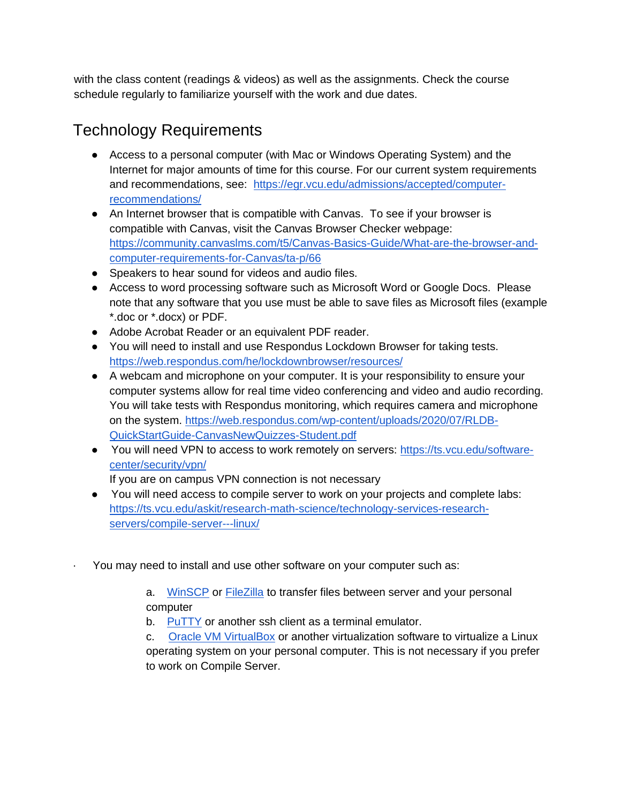with the class content (readings & videos) as well as the assignments. Check the course schedule regularly to familiarize yourself with the work and due dates.

# Technology Requirements

- Access to a personal computer (with Mac or Windows Operating System) and the Internet for major amounts of time for this course. For our current system requirements and recommendations, see: [https://egr.vcu.edu/admissions/accepted/computer](https://egr.vcu.edu/admissions/accepted/computer-recommendations/)[recommendations/](https://egr.vcu.edu/admissions/accepted/computer-recommendations/)
- An Internet browser that is compatible with Canvas. To see if your browser is compatible with Canvas, visit the Canvas [Browser Checker](https://help.blackboard.com/Learn/Administrator/SaaS/User_Interface_Options/Ultra_Experience/Browser_Support/Browser_Checker) webpage: [https://community.canvaslms.com/t5/Canvas-Basics-Guide/What-are-the-browser-and](https://community.canvaslms.com/t5/Canvas-Basics-Guide/What-are-the-browser-and-computer-requirements-for-Canvas/ta-p/66)[computer-requirements-for-Canvas/ta-p/66](https://community.canvaslms.com/t5/Canvas-Basics-Guide/What-are-the-browser-and-computer-requirements-for-Canvas/ta-p/66)
- Speakers to hear sound for videos and audio files.
- Access to word processing software such as Microsoft Word or Google Docs. Please note that any software that you use must be able to save files as Microsoft files (example \*.doc or \*.docx) or PDF.
- Adobe Acrobat Reader or an equivalent PDF reader.
- You will need to install and use Respondus Lockdown Browser for taking tests. <https://web.respondus.com/he/lockdownbrowser/resources/>
- A webcam and microphone on your computer. It is your responsibility to ensure your computer systems allow for real time video conferencing and video and audio recording. You will take tests with Respondus monitoring, which requires camera and microphone on the system. [https://web.respondus.com/wp-content/uploads/2020/07/RLDB-](https://web.respondus.com/wp-content/uploads/2020/07/RLDB-QuickStartGuide-CanvasNewQuizzes-Student.pdf)[QuickStartGuide-CanvasNewQuizzes-Student.pdf](https://web.respondus.com/wp-content/uploads/2020/07/RLDB-QuickStartGuide-CanvasNewQuizzes-Student.pdf)
- You will need VPN to access to work remotely on servers[:](https://ts.vcu.edu/software-center/security/vpn/) [https://ts.vcu.edu/software](https://ts.vcu.edu/software-center/security/vpn/)[center/security/vpn/](https://ts.vcu.edu/software-center/security/vpn/)

If you are on campus VPN connection is not necessary

- You will need access to compile server to work on your projects and complete labs[:](https://ts.vcu.edu/askit/research-math-science/technology-services-research-servers/compile-server---linux/) [https://ts.vcu.edu/askit/research-math-science/technology-services-research](https://ts.vcu.edu/askit/research-math-science/technology-services-research-servers/compile-server---linux/)[servers/compile-server---linux/](https://ts.vcu.edu/askit/research-math-science/technology-services-research-servers/compile-server---linux/)
- You may need to install and use other software on your computer such as:

a. [WinSCP](https://winscp.net/eng/index.php) or [FileZilla](https://filezilla-project.org/) to transfer files between server and your personal computer

b. [PuTTY](https://www.chiark.greenend.org.uk/~sgtatham/putty/) or another ssh client as a terminal emulator.

c. [Oracle VM VirtualBox](https://www.virtualbox.org/) or another virtualization software to virtualize a Linux operating system on your personal computer. This is not necessary if you prefer to work on Compile Server.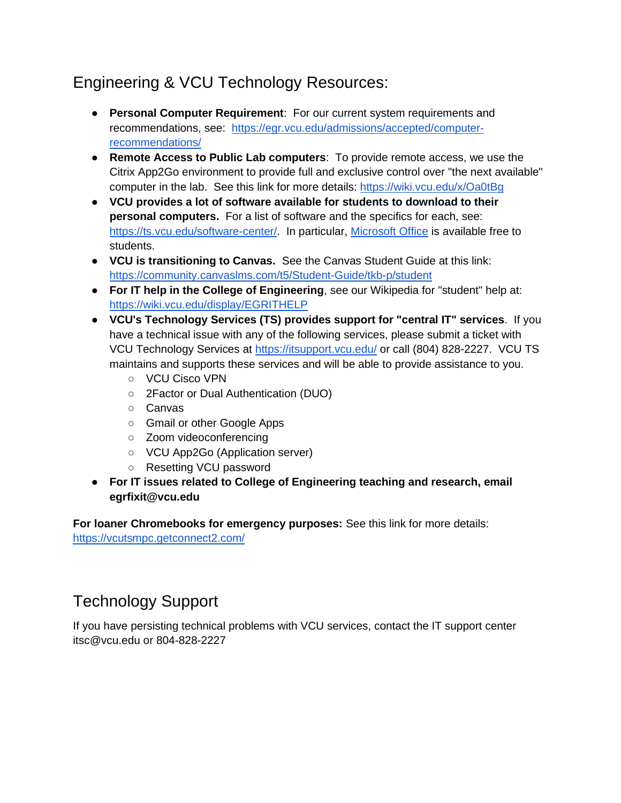# Engineering & VCU Technology Resources:

- **Personal Computer Requirement**: For our current system requirements and recommendations, see: [https://egr.vcu.edu/admissions/accepted/computer](https://egr.vcu.edu/admissions/accepted/computer-recommendations/)[recommendations/](https://egr.vcu.edu/admissions/accepted/computer-recommendations/)
- **Remote Access to Public Lab computers**: To provide remote access, we use the Citrix App2Go environment to provide full and exclusive control over "the next available" computer in the lab. See this link for more details[:](https://wiki.vcu.edu/x/Oa0tBg) <https://wiki.vcu.edu/x/Oa0tBg>
- **VCU provides a lot of software available for students to download to their personal computers.** For a list of software and the specifics for each, see[:](https://ts.vcu.edu/software-center/) [https://ts.vcu.edu/software-center/.](https://ts.vcu.edu/software-center/) In particular, [Microsoft Office](https://go.vcu.edu/microsoft) is available free to students.
- **VCU is transitioning to Canvas.** See the Canvas Student Guide at this link[:](https://community.canvaslms.com/t5/Student-Guide/tkb-p/student) <https://community.canvaslms.com/t5/Student-Guide/tkb-p/student>
- **For IT help in the College of Engineering**, see our Wikipedia for "student" help at[:](https://wiki.vcu.edu/display/EGRITHELP) <https://wiki.vcu.edu/display/EGRITHELP>
- **VCU's Technology Services (TS) provides support for "central IT" services**. If you have a technical issue with any of the following services, please submit a ticket with VCU Technology Services a[t](https://itsupport.vcu.edu/) <https://itsupport.vcu.edu/> or call (804) 828-2227. VCU TS maintains and supports these services and will be able to provide assistance to you.
	- VCU Cisco VPN
	- 2Factor or Dual Authentication (DUO)
	- Canvas
	- Gmail or other Google Apps
	- Zoom videoconferencing
	- VCU App2Go (Application server)
	- Resetting VCU password
- **For IT issues related to College of Engineering teaching and research, email egrfixit@vcu.edu**

**For loaner Chromebooks for emergency purposes:** See this link for more details: <https://vcutsmpc.getconnect2.com/>

## Technology Support

If you have persisting technical problems with VCU services, contact the IT support center itsc@vcu.edu or 804-828-2227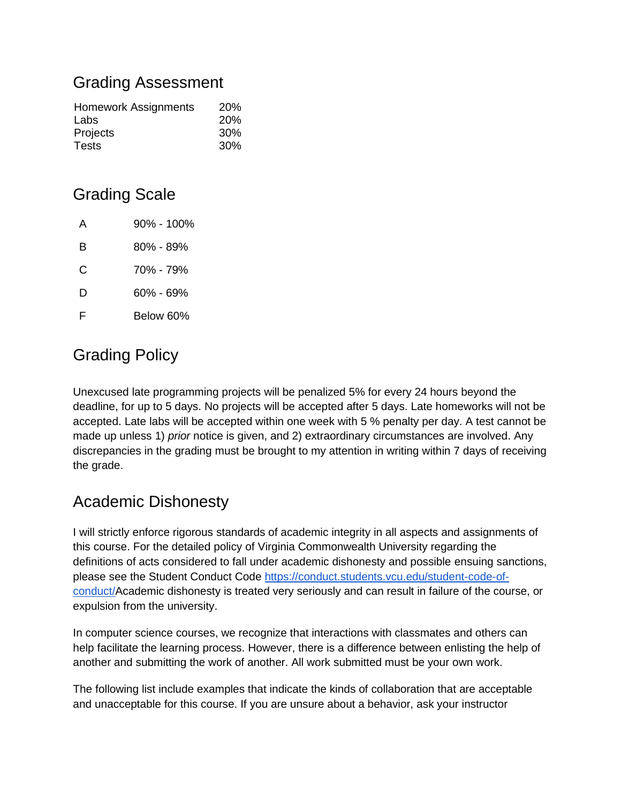### Grading Assessment

| <b>Homework Assignments</b> | <b>20%</b> |
|-----------------------------|------------|
| Labs                        | 20%        |
| Projects                    | 30%        |
| Tests                       | 30%        |

## Grading Scale

| А | 90% - 100%    |
|---|---------------|
| в | $80\% - 89\%$ |
| C | 70% - 79%     |
| D | 60% - 69%     |
| F | Below 60%     |

# Grading Policy

Unexcused late programming projects will be penalized 5% for every 24 hours beyond the deadline, for up to 5 days. No projects will be accepted after 5 days. Late homeworks will not be accepted. Late labs will be accepted within one week with 5 % penalty per day. A test cannot be made up unless 1) *prior* notice is given, and 2) extraordinary circumstances are involved. Any discrepancies in the grading must be brought to my attention in writing within 7 days of receiving the grade.

## Academic Dishonesty

I will strictly enforce rigorous standards of academic integrity in all aspects and assignments of this course. For the detailed policy of Virginia Commonwealth University regarding the definitions of acts considered to fall under academic dishonesty and possible ensuing sanctions, please see the Student Conduct Cod[e](https://conduct.students.vcu.edu/student-code-of-conduct/) [https://conduct.students.vcu.edu/student-code-of](https://conduct.students.vcu.edu/student-code-of-conduct/)[conduct/A](https://conduct.students.vcu.edu/student-code-of-conduct/)cademic dishonesty is treated very seriously and can result in failure of the course, or expulsion from the university.

In computer science courses, we recognize that interactions with classmates and others can help facilitate the learning process. However, there is a difference between enlisting the help of another and submitting the work of another. All work submitted must be your own work.

The following list include examples that indicate the kinds of collaboration that are acceptable and unacceptable for this course. If you are unsure about a behavior, ask your instructor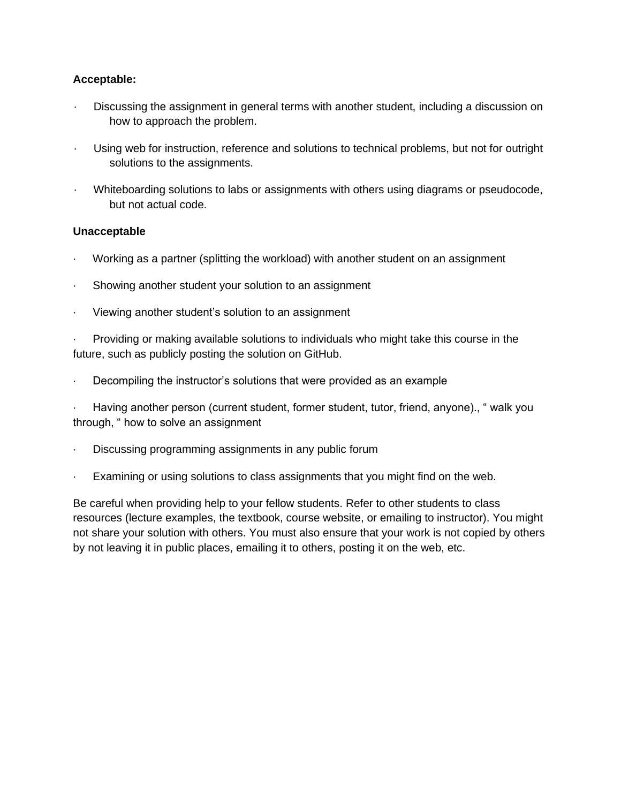#### **Acceptable:**

- · Discussing the assignment in general terms with another student, including a discussion on how to approach the problem.
- Using web for instruction, reference and solutions to technical problems, but not for outright solutions to the assignments.
- · Whiteboarding solutions to labs or assignments with others using diagrams or pseudocode, but not actual code.

#### **Unacceptable**

- · Working as a partner (splitting the workload) with another student on an assignment
- Showing another student your solution to an assignment
- · Viewing another student's solution to an assignment

· Providing or making available solutions to individuals who might take this course in the future, such as publicly posting the solution on GitHub.

Decompiling the instructor's solutions that were provided as an example

· Having another person (current student, former student, tutor, friend, anyone)., " walk you through, " how to solve an assignment

- Discussing programming assignments in any public forum
- Examining or using solutions to class assignments that you might find on the web.

Be careful when providing help to your fellow students. Refer to other students to class resources (lecture examples, the textbook, course website, or emailing to instructor). You might not share your solution with others. You must also ensure that your work is not copied by others by not leaving it in public places, emailing it to others, posting it on the web, etc.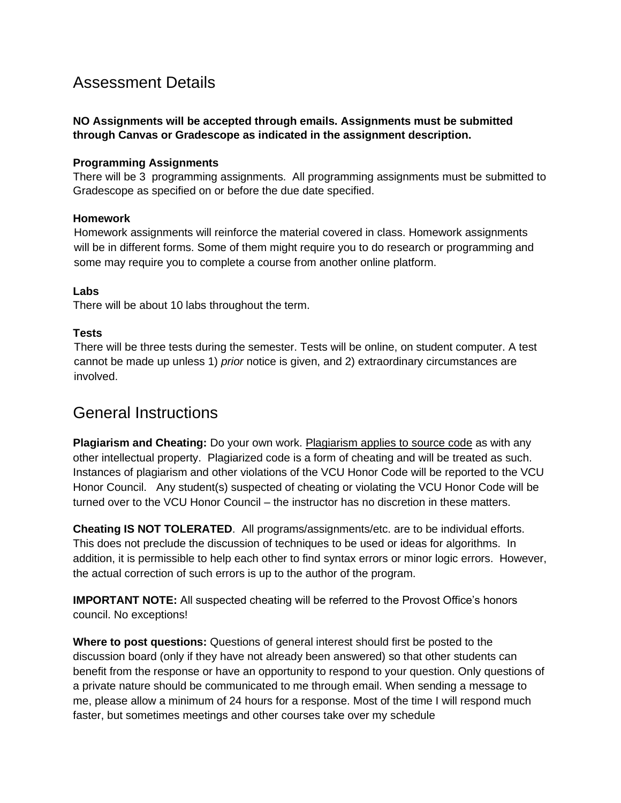### Assessment Details

#### **NO Assignments will be accepted through emails. Assignments must be submitted through Canvas or Gradescope as indicated in the assignment description.**

#### **Programming Assignments**

There will be 3 programming assignments. All programming assignments must be submitted to Gradescope as specified on or before the due date specified.

#### **Homework**

Homework assignments will reinforce the material covered in class. Homework assignments will be in different forms. Some of them might require you to do research or programming and some may require you to complete a course from another online platform.

#### **Labs**

There will be about 10 labs throughout the term.

#### **Tests**

There will be three tests during the semester. Tests will be online, on student computer. A test cannot be made up unless 1) *prior* notice is given, and 2) extraordinary circumstances are involved.

### General Instructions

**Plagiarism and Cheating:** Do your own work. Plagiarism applies to source code as with any other intellectual property. Plagiarized code is a form of cheating and will be treated as such. Instances of plagiarism and other violations of the VCU Honor Code will be reported to the VCU Honor Council. Any student(s) suspected of cheating or violating the VCU Honor Code will be turned over to the VCU Honor Council – the instructor has no discretion in these matters.

**Cheating IS NOT TOLERATED**. All programs/assignments/etc. are to be individual efforts. This does not preclude the discussion of techniques to be used or ideas for algorithms. In addition, it is permissible to help each other to find syntax errors or minor logic errors. However, the actual correction of such errors is up to the author of the program.

**IMPORTANT NOTE:** All suspected cheating will be referred to the Provost Office's honors council. No exceptions!

**Where to post questions:** Questions of general interest should first be posted to the discussion board (only if they have not already been answered) so that other students can benefit from the response or have an opportunity to respond to your question. Only questions of a private nature should be communicated to me through email. When sending a message to me, please allow a minimum of 24 hours for a response. Most of the time I will respond much faster, but sometimes meetings and other courses take over my schedule